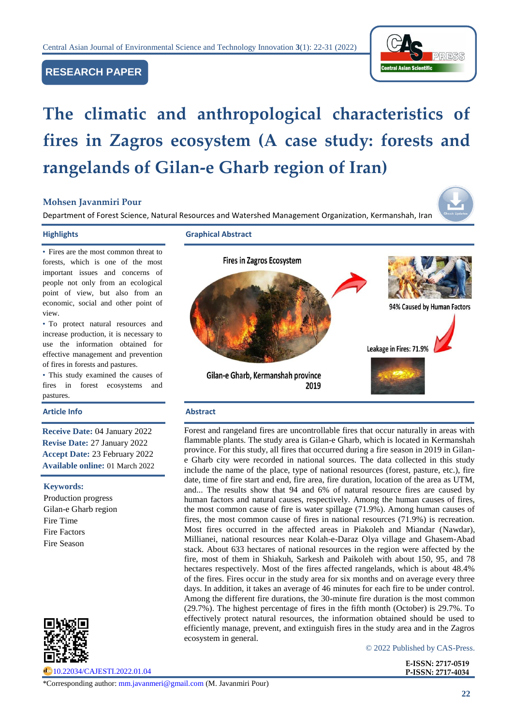

# **RESEARCH PAPER**

# **The climatic and anthropological characteristics of fires in Zagros ecosystem (A case study: forests and rangelands of Gilan-e Gharb region of Iran)**

# **Mohsen Javanmiri Pour**

Department of Forest Science, Natural Resources and Watershed Management Organization, Kermanshah, Iran

**Highlights Graphical Abstract**



• To protect natural resources and increase production, it is necessary to use the information obtained for effective management and prevention of fires in forests and pastures.

• This study examined the causes of fires in forest ecosystems and pastures.

#### **Article Info Abstract**

**Receive Date:** 04 January 2022 **Revise Date:** 27 January 2022 **Accept Date:** 23 February 2022 **Available online:** 01 March 2022

#### **Keywords:**

Production progress Gilan-e Gharb region Fire Time Fire Factors Fire Season



[10.22034/CAJESTI.2022.01.04](https://www.cas-press.com/article_145328.html)



Forest and rangeland fires are uncontrollable fires that occur naturally in areas with flammable plants. The study area is Gilan-e Gharb, which is located in Kermanshah province. For this study, all fires that occurred during a fire season in 2019 in Gilane Gharb city were recorded in national sources. The data collected in this study include the name of the place, type of national resources (forest, pasture, etc.), fire date, time of fire start and end, fire area, fire duration, location of the area as UTM, and... The results show that 94 and 6% of natural resource fires are caused by human factors and natural causes, respectively. Among the human causes of fires, the most common cause of fire is water spillage (71.9%). Among human causes of fires, the most common cause of fires in national resources (71.9%) is recreation. Most fires occurred in the affected areas in Piakoleh and Miandar (Nawdar), Millianei, national resources near Kolah-e-Daraz Olya village and Ghasem-Abad stack. About 633 hectares of national resources in the region were affected by the fire, most of them in Shiakuh, Sarkesh and Paikoleh with about 150, 95, and 78 hectares respectively. Most of the fires affected rangelands, which is about 48.4% of the fires. Fires occur in the study area for six months and on average every three days. In addition, it takes an average of 46 minutes for each fire to be under control. Among the different fire durations, the 30-minute fire duration is the most common (29.7%). The highest percentage of fires in the fifth month (October) is 29.7%. To effectively protect natural resources, the information obtained should be used to efficiently manage, prevent, and extinguish fires in the study area and in the Zagros ecosystem in general.

© 2022 Published by CAS-Press.

**E-ISSN: 2717-0519 P-ISSN: 2717-4034**

\*Corresponding author: [mm.javanmeri@gmail.com](mailto:mm.javanmeri@gmail.com) (M. Javanmiri Pour)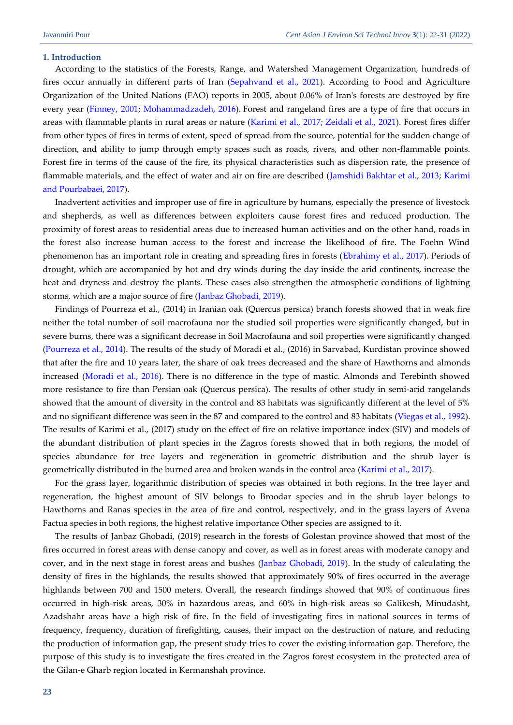## **1. Introduction**

According to the statistics of the Forests, Range, and Watershed Management Organization, hundreds of fires occur annually in different parts of Iran [\(Sepahvand et al., 2021\)](#page-9-0). According to Food and Agriculture Organization of the United Nations (FAO) reports in 2005, about 0.06% of Iran's forests are destroyed by fire every year [\(Finney, 2001;](#page-8-0) [Mohammadzadeh, 2016\)](#page-9-1). Forest and rangeland fires are a type of fire that occurs in areas with flammable plants in rural areas or nature [\(Karimi et al., 2017;](#page-9-2) Zeidali [et al., 2021\)](#page-9-3). Forest fires differ from other types of fires in terms of extent, speed of spread from the source, potential for the sudden change of direction, and ability to jump through empty spaces such as roads, rivers, and other non-flammable points. Forest fire in terms of the cause of the fire, its physical characteristics such as dispersion rate, the presence of flammable materials, and the effect of water and air on fire are described [\(Jamshidi Bakhtar et al., 2013;](#page-8-1) Karimi and Pourbabaei, 2017).

Inadvertent activities and improper use of fire in agriculture by humans, especially the presence of livestock and shepherds, as well as differences between exploiters cause forest fires and reduced production. The proximity of forest areas to residential areas due to increased human activities and on the other hand, roads in the forest also increase human access to the forest and increase the likelihood of fire. The Foehn Wind phenomenon has an important role in creating and spreading fires in forests [\(Ebrahimy et al., 2017\)](#page-8-2). Periods of drought, which are accompanied by hot and dry winds during the day inside the arid continents, increase the heat and dryness and destroy the plants. These cases also strengthen the atmospheric conditions of lightning storms, which are a major source of fire [\(Janbaz Ghobadi, 2019\)](#page-8-3).

Findings of Pourreza et al., (2014) in Iranian oak (Quercus persica) branch forests showed that in weak fire neither the total number of soil macrofauna nor the studied soil properties were significantly changed, but in severe burns, there was a significant decrease in Soil Macrofauna and soil properties were significantly changed [\(Pourreza et al., 2014\)](#page-9-4). The results of the study of Moradi et al., (2016) in Sarvabad, Kurdistan province showed that after the fire and 10 years later, the share of oak trees decreased and the share of Hawthorns and almonds increased [\(Moradi et al., 2016\)](#page-9-5). There is no difference in the type of mastic. Almonds and Terebinth showed more resistance to fire than Persian oak (Quercus persica). The results of other study in semi-arid rangelands showed that the amount of diversity in the control and 83 habitats was significantly different at the level of 5% and no significant difference was seen in the 87 and compared to the control and 83 habitats [\(Viegas et al., 1992\)](#page-9-0). The results of Karimi et al., (2017) study on the effect of fire on relative importance index (SIV) and models of the abundant distribution of plant species in the Zagros forests showed that in both regions, the model of species abundance for tree layers and regeneration in geometric distribution and the shrub layer is geometrically distributed in the burned area and broken wands in the control area [\(Karimi et al., 2017\)](#page-9-2).

For the grass layer, logarithmic distribution of species was obtained in both regions. In the tree layer and regeneration, the highest amount of SIV belongs to Broodar species and in the shrub layer belongs to Hawthorns and Ranas species in the area of fire and control, respectively, and in the grass layers of Avena Factua species in both regions, the highest relative importance Other species are assigned to it.

The results of Janbaz Ghobadi, (2019) research in the forests of Golestan province showed that most of the fires occurred in forest areas with dense canopy and cover, as well as in forest areas with moderate canopy and cover, and in the next stage in forest areas and bushes [\(Janbaz Ghobadi, 2019\)](#page-8-3). In the study of calculating the density of fires in the highlands, the results showed that approximately 90% of fires occurred in the average highlands between 700 and 1500 meters. Overall, the research findings showed that 90% of continuous fires occurred in high-risk areas, 30% in hazardous areas, and 60% in high-risk areas so Galikesh, Minudasht, Azadshahr areas have a high risk of fire. In the field of investigating fires in national sources in terms of frequency, frequency, duration of firefighting, causes, their impact on the destruction of nature, and reducing the production of information gap, the present study tries to cover the existing information gap. Therefore, the purpose of this study is to investigate the fires created in the Zagros forest ecosystem in the protected area of the Gilan-e Gharb region located in Kermanshah province.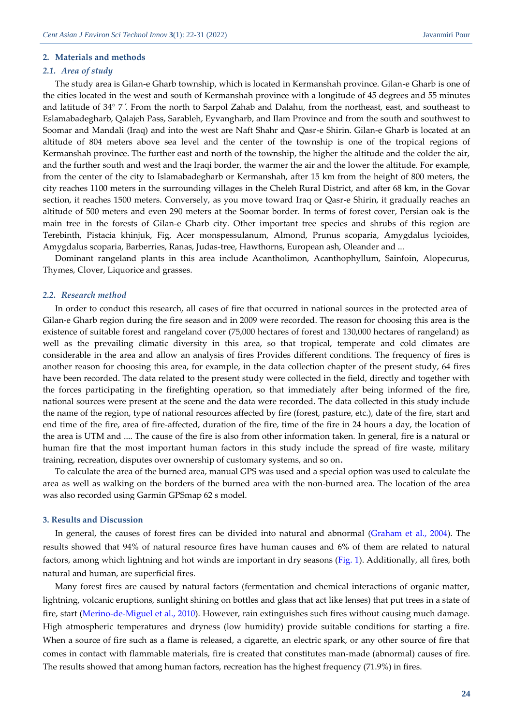#### **2. Materials and methods**

## *2.1. Area of study*

The study area is Gilan-e Gharb township, which is located in Kermanshah province. Gilan-e Gharb is one of the cities located in the west and south of Kermanshah province with a longitude of 45 degrees and 55 minutes and latitude of 34° 7 ́. From the north to Sarpol Zahab and Dalahu, from the northeast, east, and southeast to Eslamabadegharb, Qalajeh Pass, Sarableh, Eyvangharb, and Ilam Province and from the south and southwest to Soomar and Mandali (Iraq) and into the west are Naft Shahr and Qasr-e Shirin. Gilan-e Gharb is located at an altitude of 804 meters above sea level and the center of the township is one of the tropical regions of Kermanshah province. The further east and north of the township, the higher the altitude and the colder the air, and the further south and west and the Iraqi border, the warmer the air and the lower the altitude. For example, from the center of the city to Islamabadegharb or Kermanshah, after 15 km from the height of 800 meters, the city reaches 1100 meters in the surrounding villages in the Cheleh Rural District, and after 68 km, in the Govar section, it reaches 1500 meters. Conversely, as you move toward Iraq or Qasr-e Shirin, it gradually reaches an altitude of 500 meters and even 290 meters at the Soomar border. In terms of forest cover, Persian oak is the main tree in the forests of Gilan-e Gharb city. Other important tree species and shrubs of this region are Terebinth, Pistacia khinjuk, Fig, Acer monspessulanum, Almond, Prunus scoparia, Amygdalus lycioides, Amygdalus scoparia, Barberries, Ranas, Judas-tree, Hawthorns, European ash, Oleander and ...

Dominant rangeland plants in this area include Acantholimon, Acanthophyllum, Sainfoin, Alopecurus, Thymes, Clover, Liquorice and grasses.

#### *2.2. Research method*

In order to conduct this research, all cases of fire that occurred in national sources in the protected area of Gilan-e Gharb region during the fire season and in 2009 were recorded. The reason for choosing this area is the existence of suitable forest and rangeland cover (75,000 hectares of forest and 130,000 hectares of rangeland) as well as the prevailing climatic diversity in this area, so that tropical, temperate and cold climates are considerable in the area and allow an analysis of fires Provides different conditions. The frequency of fires is another reason for choosing this area, for example, in the data collection chapter of the present study, 64 fires have been recorded. The data related to the present study were collected in the field, directly and together with the forces participating in the firefighting operation, so that immediately after being informed of the fire, national sources were present at the scene and the data were recorded. The data collected in this study include the name of the region, type of national resources affected by fire (forest, pasture, etc.), date of the fire, start and end time of the fire, area of fire-affected, duration of the fire, time of the fire in 24 hours a day, the location of the area is UTM and .... The cause of the fire is also from other information taken. In general, fire is a natural or human fire that the most important human factors in this study include the spread of fire waste, military training, recreation, disputes over ownership of customary systems, and so on.

To calculate the area of the burned area, manual GPS was used and a special option was used to calculate the area as well as walking on the borders of the burned area with the non-burned area. The location of the area was also recorded using Garmin GPSmap 62 s model.

#### **3. Results and Discussion**

In general, the causes of forest fires can be divided into natural and abnormal [\(Graham et al., 2004\)](#page-8-4). The results showed that 94% of natural resource fires have human causes and 6% of them are related to natural factors, among which lightning and hot winds are important in dry seasons [\(Fig. 1\)](#page-3-0). Additionally, all fires, both natural and human, are superficial fires.

Many forest fires are caused by natural factors (fermentation and chemical interactions of organic matter, lightning, volcanic eruptions, sunlight shining on bottles and glass that act like lenses) that put trees in a state of fire, start [\(Merino-de-Miguel et al., 2010\)](#page-9-6). However, rain extinguishes such fires without causing much damage. High atmospheric temperatures and dryness (low humidity) provide suitable conditions for starting a fire. When a source of fire such as a flame is released, a cigarette, an electric spark, or any other source of fire that comes in contact with flammable materials, fire is created that constitutes man-made (abnormal) causes of fire. The results showed that among human factors, recreation has the highest frequency (71.9%) in fires.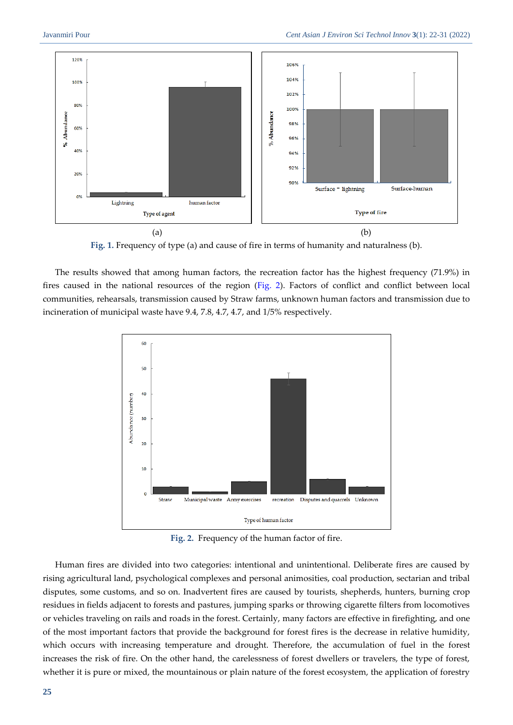

**Fig. 1.** Frequency of type (a) and cause of fire in terms of humanity and naturalness (b).

<span id="page-3-0"></span>The results showed that among human factors, the recreation factor has the highest frequency (71.9%) in fires caused in the national resources of the region [\(Fig. 2\)](#page-3-1). Factors of conflict and conflict between local communities, rehearsals, transmission caused by Straw farms, unknown human factors and transmission due to incineration of municipal waste have 9.4, 7.8, 4.7, 4.7, and 1/5% respectively.



**Fig. 2.** Frequency of the human factor of fire.

<span id="page-3-1"></span>Human fires are divided into two categories: intentional and unintentional. Deliberate fires are caused by rising agricultural land, psychological complexes and personal animosities, coal production, sectarian and tribal disputes, some customs, and so on. Inadvertent fires are caused by tourists, shepherds, hunters, burning crop residues in fields adjacent to forests and pastures, jumping sparks or throwing cigarette filters from locomotives or vehicles traveling on rails and roads in the forest. Certainly, many factors are effective in firefighting, and one of the most important factors that provide the background for forest fires is the decrease in relative humidity, which occurs with increasing temperature and drought. Therefore, the accumulation of fuel in the forest increases the risk of fire. On the other hand, the carelessness of forest dwellers or travelers, the type of forest, whether it is pure or mixed, the mountainous or plain nature of the forest ecosystem, the application of forestry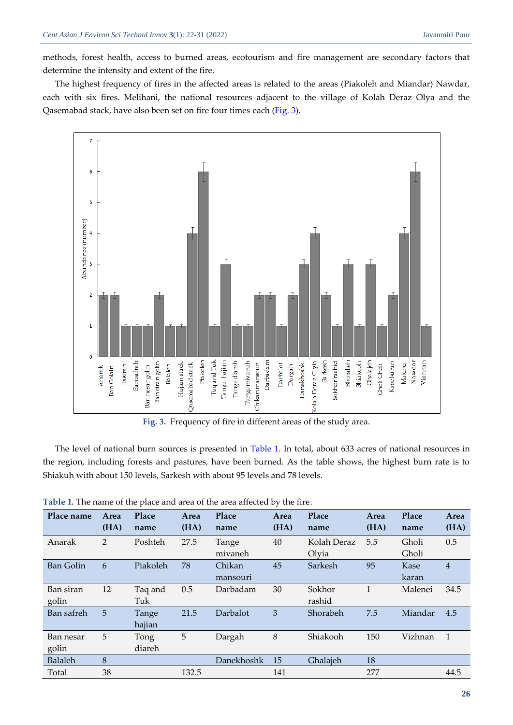methods, forest health, access to burned areas, ecotourism and fire management are secondary factors that determine the intensity and extent of the fire.

The highest frequency of fires in the affected areas is related to the areas (Piakoleh and Miandar) Nawdar, each with six fires. Melihani, the national resources adjacent to the village of Kolah Deraz Olya and the Qasemabad stack, have also been set on fire four times each [\(Fig. 3\)](#page-4-0).



**Fig. 3.** Frequency of fire in different areas of the study area.

<span id="page-4-0"></span>The level of national burn sources is presented in [Table 1.](#page-4-1) In total, about 633 acres of national resources in the region, including forests and pastures, have been burned. As the table shows, the highest burn rate is to Shiakuh with about 150 levels, Sarkesh with about 95 levels and 78 levels.

<span id="page-4-1"></span>

| Table 1. The name of the place and area of the area affected by the fire. |  |
|---------------------------------------------------------------------------|--|
|---------------------------------------------------------------------------|--|

| Place name         | Area<br>(HA)   | Place<br>name   | Area<br>(HA) | Place<br>name      | Area<br>(HA) | Place<br>name        | Area<br>(HA) | Place<br>name  | Area<br>(HA)   |
|--------------------|----------------|-----------------|--------------|--------------------|--------------|----------------------|--------------|----------------|----------------|
| Anarak             | 2              | Poshteh         | 27.5         | Tange<br>mivaneh   | 40           | Kolah Deraz<br>Olyia | 5.5          | Gholi<br>Gholi | 0.5            |
| <b>Ban Golin</b>   | 6              | Piakoleh        | 78           | Chikan<br>mansouri | 45           | Sarkesh              | 95           | Kase<br>karan  | $\overline{4}$ |
| Ban siran<br>golin | 12             | Taq and<br>Tuk  | 0.5          | Darbadam           | 30           | Sokhor<br>rashid     | 1            | Malenei        | 34.5           |
| Ban safreh         | 5 <sup>5</sup> | Tange<br>hajian | 21.5         | Darbalot           | 3            | Shorabeh             | 7.5          | Miandar        | 4.5            |
| Ban nesar<br>golin | 5              | Tong<br>diareh  | 5            | Dargah             | 8            | Shiakooh             | 150          | Vizhnan        | -1             |
| Balaleh            | 8              |                 |              | Danekhoshk         | 15           | Ghalajeh             | 18           |                |                |
| Total              | 38             |                 | 132.5        |                    | 141          |                      | 277          |                | 44.5           |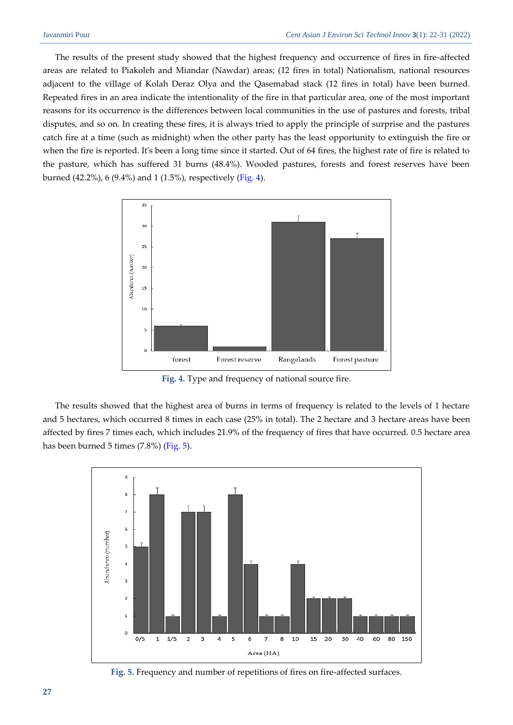The results of the present study showed that the highest frequency and occurrence of fires in fire-affected areas are related to Piakoleh and Miandar (Nawdar) areas; (12 fires in total) Nationalism, national resources adjacent to the village of Kolah Deraz Olya and the Qasemabad stack (12 fires in total) have been burned. Repeated fires in an area indicate the intentionality of the fire in that particular area, one of the most important reasons for its occurrence is the differences between local communities in the use of pastures and forests, tribal disputes, and so on. In creating these fires, it is always tried to apply the principle of surprise and the pastures catch fire at a time (such as midnight) when the other party has the least opportunity to extinguish the fire or when the fire is reported. It's been a long time since it started. Out of 64 fires, the highest rate of fire is related to the pasture, which has suffered 31 burns (48.4%). Wooded pastures, forests and forest reserves have been burned (42.2%), 6 (9.4%) and 1 (1.5%), respectively [\(Fig. 4\)](#page-5-0).



**Fig. 4.** Type and frequency of national source fire.

<span id="page-5-0"></span>The results showed that the highest area of burns in terms of frequency is related to the levels of 1 hectare and 5 hectares, which occurred 8 times in each case (25% in total). The 2 hectare and 3 hectare areas have been affected by fires 7 times each, which includes 21.9% of the frequency of fires that have occurred. 0.5 hectare area has been burned 5 times (7.8%) [\(Fig. 5\)](#page-5-1).



<span id="page-5-1"></span>**Fig. 5.** Frequency and number of repetitions of fires on fire-affected surfaces.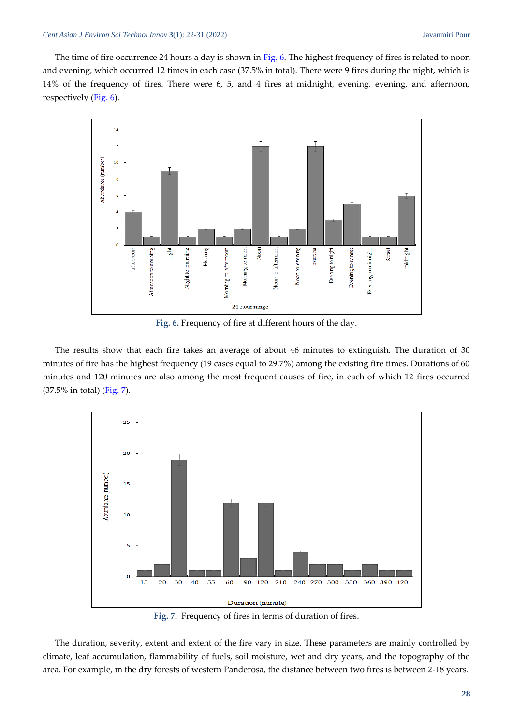The time of fire occurrence 24 hours a day is shown i[n Fig. 6.](#page-6-0) The highest frequency of fires is related to noon and evening, which occurred 12 times in each case (37.5% in total). There were 9 fires during the night, which is 14% of the frequency of fires. There were 6, 5, and 4 fires at midnight, evening, evening, and afternoon, respectively [\(Fig. 6\)](#page-6-0).



**Fig. 6.** Frequency of fire at different hours of the day.

<span id="page-6-0"></span>The results show that each fire takes an average of about 46 minutes to extinguish. The duration of 30 minutes of fire has the highest frequency (19 cases equal to 29.7%) among the existing fire times. Durations of 60 minutes and 120 minutes are also among the most frequent causes of fire, in each of which 12 fires occurred (37.5% in total) [\(Fig. 7\)](#page-6-1).



**Fig. 7.** Frequency of fires in terms of duration of fires.

<span id="page-6-1"></span>The duration, severity, extent and extent of the fire vary in size. These parameters are mainly controlled by climate, leaf accumulation, flammability of fuels, soil moisture, wet and dry years, and the topography of the area. For example, in the dry forests of western Panderosa, the distance between two fires is between 2-18 years.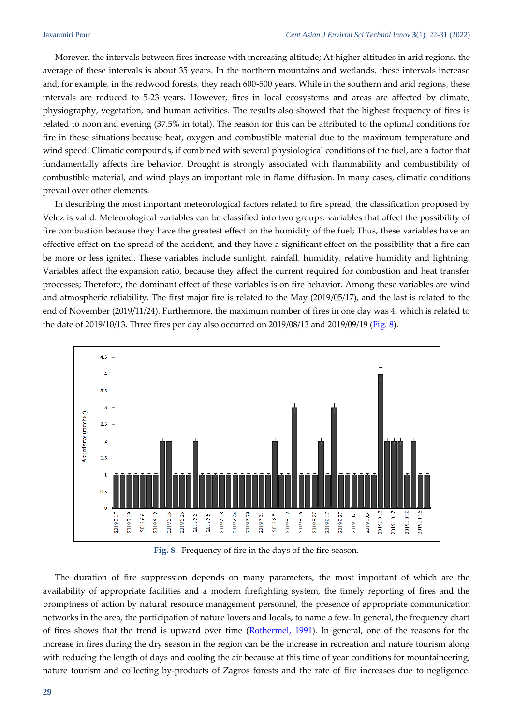Morever, the intervals between fires increase with increasing altitude; At higher altitudes in arid regions, the average of these intervals is about 35 years. In the northern mountains and wetlands, these intervals increase and, for example, in the redwood forests, they reach 600-500 years. While in the southern and arid regions, these intervals are reduced to 5-23 years. However, fires in local ecosystems and areas are affected by climate, physiography, vegetation, and human activities. The results also showed that the highest frequency of fires is related to noon and evening (37.5% in total). The reason for this can be attributed to the optimal conditions for fire in these situations because heat, oxygen and combustible material due to the maximum temperature and wind speed. Climatic compounds, if combined with several physiological conditions of the fuel, are a factor that fundamentally affects fire behavior. Drought is strongly associated with flammability and combustibility of combustible material, and wind plays an important role in flame diffusion. In many cases, climatic conditions prevail over other elements.

In describing the most important meteorological factors related to fire spread, the classification proposed by Velez is valid. Meteorological variables can be classified into two groups: variables that affect the possibility of fire combustion because they have the greatest effect on the humidity of the fuel; Thus, these variables have an effective effect on the spread of the accident, and they have a significant effect on the possibility that a fire can be more or less ignited. These variables include sunlight, rainfall, humidity, relative humidity and lightning. Variables affect the expansion ratio, because they affect the current required for combustion and heat transfer processes; Therefore, the dominant effect of these variables is on fire behavior. Among these variables are wind and atmospheric reliability. The first major fire is related to the May (2019/05/17), and the last is related to the end of November (2019/11/24). Furthermore, the maximum number of fires in one day was 4, which is related to the date of 2019/10/13. Three fires per day also occurred on 2019/08/13 and 2019/09/19 [\(Fig.](#page-7-0) 8).



**Fig. 8.** Frequency of fire in the days of the fire season.

<span id="page-7-0"></span>The duration of fire suppression depends on many parameters, the most important of which are the availability of appropriate facilities and a modern firefighting system, the timely reporting of fires and the promptness of action by natural resource management personnel, the presence of appropriate communication networks in the area, the participation of nature lovers and locals, to name a few. In general, the frequency chart of fires shows that the trend is upward over time [\(Rothermel, 1991\)](#page-9-7). In general, one of the reasons for the increase in fires during the dry season in the region can be the increase in recreation and nature tourism along with reducing the length of days and cooling the air because at this time of year conditions for mountaineering, nature tourism and collecting by-products of Zagros forests and the rate of fire increases due to negligence.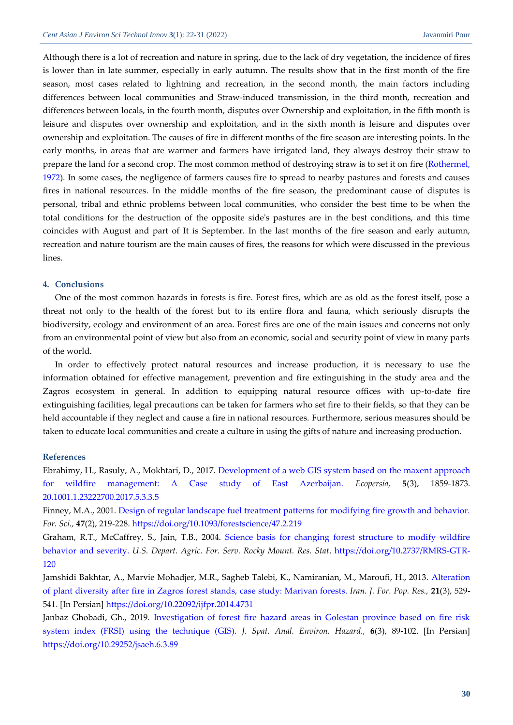Although there is a lot of recreation and nature in spring, due to the lack of dry vegetation, the incidence of fires is lower than in late summer, especially in early autumn. The results show that in the first month of the fire season, most cases related to lightning and recreation, in the second month, the main factors including differences between local communities and Straw-induced transmission, in the third month, recreation and differences between locals, in the fourth month, disputes over Ownership and exploitation, in the fifth month is leisure and disputes over ownership and exploitation, and in the sixth month is leisure and disputes over ownership and exploitation. The causes of fire in different months of the fire season are interesting points. In the early months, in areas that are warmer and farmers have irrigated land, they always destroy their straw to prepare the land for a second crop. The most common method of destroying straw is to set it on fire (Rothermel, [1972\)](#page-9-8). In some cases, the negligence of farmers causes fire to spread to nearby pastures and forests and causes fires in national resources. In the middle months of the fire season, the predominant cause of disputes is personal, tribal and ethnic problems between local communities, who consider the best time to be when the total conditions for the destruction of the opposite side's pastures are in the best conditions, and this time coincides with August and part of It is September. In the last months of the fire season and early autumn, recreation and nature tourism are the main causes of fires, the reasons for which were discussed in the previous lines.

#### **4. Conclusions**

One of the most common hazards in forests is fire. Forest fires, which are as old as the forest itself, pose a threat not only to the health of the forest but to its entire flora and fauna, which seriously disrupts the biodiversity, ecology and environment of an area. Forest fires are one of the main issues and concerns not only from an environmental point of view but also from an economic, social and security point of view in many parts of the world.

In order to effectively protect natural resources and increase production, it is necessary to use the information obtained for effective management, prevention and fire extinguishing in the study area and the Zagros ecosystem in general. In addition to equipping natural resource offices with up-to-date fire extinguishing facilities, legal precautions can be taken for farmers who set fire to their fields, so that they can be held accountable if they neglect and cause a fire in national resources. Furthermore, serious measures should be taken to educate local communities and create a culture in using the gifts of nature and increasing production.

#### **References**

<span id="page-8-2"></span>Ebrahimy, H., Rasuly, A., Mokhtari, D., 2017. Development of a web GIS [system based on the maxent approach](https://ecopersia.modares.ac.ir/article-24-1674-en.pdf)  [for wildfire management: A Case study of East Azerbaijan.](https://ecopersia.modares.ac.ir/article-24-1674-en.pdf) *Ecopersia,* **5**(3), 1859-1873. [20.1001.1.23222700.2017.5.3.3.5](http://dorl.net/dor/20.1001.1.23222700.2017.5.3.3.5)

<span id="page-8-0"></span>Finney, M.A., 2001. [Design of regular landscape fuel treatment patterns for modifying fire growth and behavior.](https://union-county.org/cwpp/Project%20File/Reference_materials/Fire_Behavior/fuels%20treatments/Mark_Finney/Finney.pdf) *For. Sci.,* **47**(2), 219-228[. https://doi.org/10.1093/forestscience/47.2.219](https://doi.org/10.1093/forestscience/47.2.219)

<span id="page-8-4"></span>Graham, R.T., McCaffrey, S., Jain, T.B., 2004. [Science basis for changing forest structure to modify wildfire](https://www.ltrr.arizona.edu/webhome/sheppard/swland/scibasiswildfirebehavior.pdf)  [behavior and severity.](https://www.ltrr.arizona.edu/webhome/sheppard/swland/scibasiswildfirebehavior.pdf) *U.S. Depart. Agric. For. Serv. Rocky Mount. Res. Stat*. [https://doi.org/10.2737/RMRS-GTR-](https://doi.org/10.2737/RMRS-GTR-120)[120](https://doi.org/10.2737/RMRS-GTR-120)

<span id="page-8-1"></span>Jamshidi Bakhtar, A., Marvie Mohadjer, M.R., Sagheb Talebi, K., Namiranian, M., Maroufi, H., 2013. [Alteration](https://ijfpr.areeo.ac.ir/article_4731_6715be4188140f33796750860bd42856.pdf?lang=en)  [of plant diversity after fire in Zagros forest stands, case study: Marivan forests.](https://ijfpr.areeo.ac.ir/article_4731_6715be4188140f33796750860bd42856.pdf?lang=en) *Iran. J. For. Pop. Res.,* **21**(3), 529- 541. [In Persian] <https://doi.org/10.22092/ijfpr.2014.4731>

<span id="page-8-3"></span>Janbaz Ghobadi, Gh., 2019. [Investigation of forest fire hazard areas in Golestan province based on fire risk](https://jsaeh.khu.ac.ir/article-1-2723-en.pdf)  [system index \(FRSI\) using the technique \(GIS\).](https://jsaeh.khu.ac.ir/article-1-2723-en.pdf) *J. Spat. Anal. Environ. Hazard.,* **6**(3), 89-102. [In Persian] <https://doi.org/10.29252/jsaeh.6.3.89>